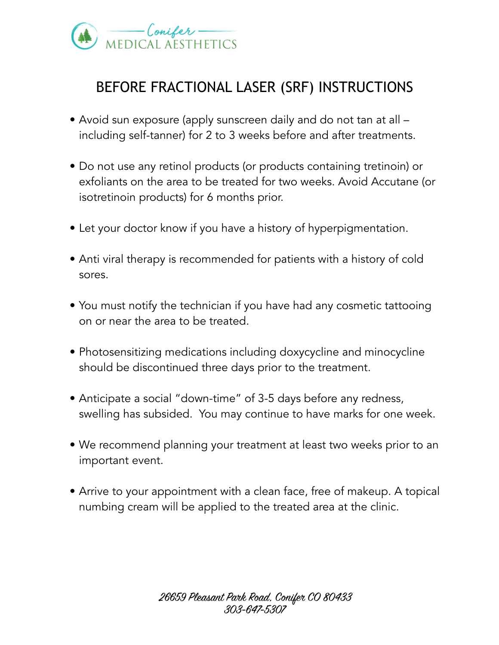

## BEFORE FRACTIONAL LASER (SRF) INSTRUCTIONS

- Avoid sun exposure (apply sunscreen daily and do not tan at all including self-tanner) for 2 to 3 weeks before and after treatments.
- Do not use any retinol products (or products containing tretinoin) or exfoliants on the area to be treated for two weeks. Avoid Accutane (or isotretinoin products) for 6 months prior.
- Let your doctor know if you have a history of hyperpigmentation.
- Anti viral therapy is recommended for patients with a history of cold sores.
- You must notify the technician if you have had any cosmetic tattooing on or near the area to be treated.
- Photosensitizing medications including doxycycline and minocycline should be discontinued three days prior to the treatment.
- Anticipate a social "down-time" of 3-5 days before any redness, swelling has subsided. You may continue to have marks for one week.
- We recommend planning your treatment at least two weeks prior to an important event.
- Arrive to your appointment with a clean face, free of makeup. A topical numbing cream will be applied to the treated area at the clinic.